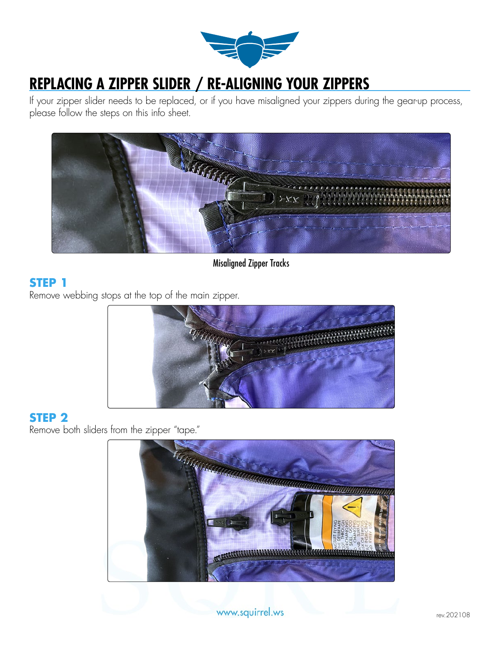

# **REPLACING A ZIPPER SLIDER / RE-ALIGNING YOUR ZIPPERS**

If your zipper slider needs to be replaced, or if you have misaligned your zippers during the gear-up process, please follow the steps on this info sheet.



Misaligned Zipper Tracks

## **STEP 1**

Remove webbing stops at the top of the main zipper.



## **STEP 2**

Remove both sliders from the zipper "tape."